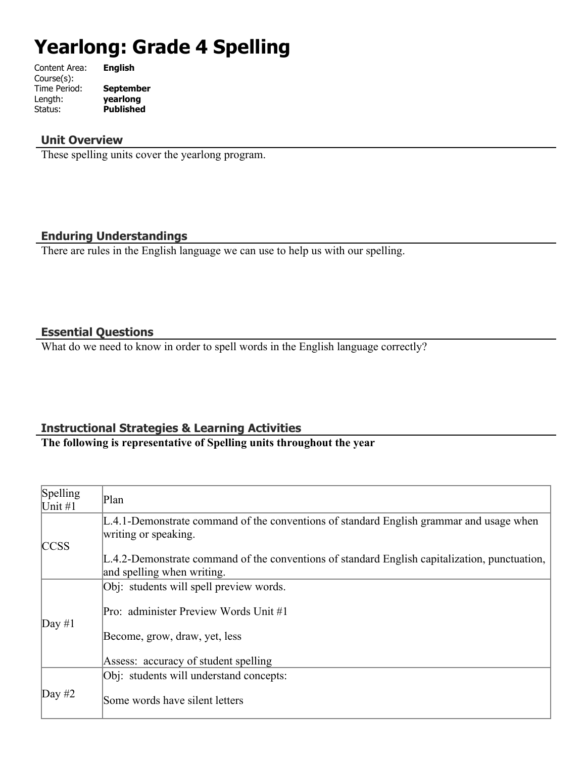# **Yearlong: Grade 4 Spelling**

| Content Area: | <b>English</b>   |
|---------------|------------------|
| Course(s):    |                  |
| Time Period:  | <b>September</b> |
| Length:       | yearlong         |
| Status:       | <b>Published</b> |
|               |                  |

#### **Unit Overview**

These spelling units cover the yearlong program.

# **Enduring Understandings**

There are rules in the English language we can use to help us with our spelling.

#### **Essential Questions**

What do we need to know in order to spell words in the English language correctly?

## **Instructional Strategies & Learning Activities**

## **The following is representative of Spelling units throughout the year**

| Spelling<br>Unit $#1$ | Plan                                                                                                                           |
|-----------------------|--------------------------------------------------------------------------------------------------------------------------------|
|                       | $L.4.1$ -Demonstrate command of the conventions of standard English grammar and usage when<br>writing or speaking.             |
| <b>CCSS</b>           | $L.4.2$ -Demonstrate command of the conventions of standard English capitalization, punctuation,<br>and spelling when writing. |
|                       | Obj: students will spell preview words.                                                                                        |
| $\text{Day } \#1$     | Pro: administer Preview Words Unit #1                                                                                          |
|                       | Become, grow, draw, yet, less                                                                                                  |
|                       | Assess: accuracy of student spelling                                                                                           |
|                       | Obj: students will understand concepts:                                                                                        |
| Day #2                | Some words have silent letters                                                                                                 |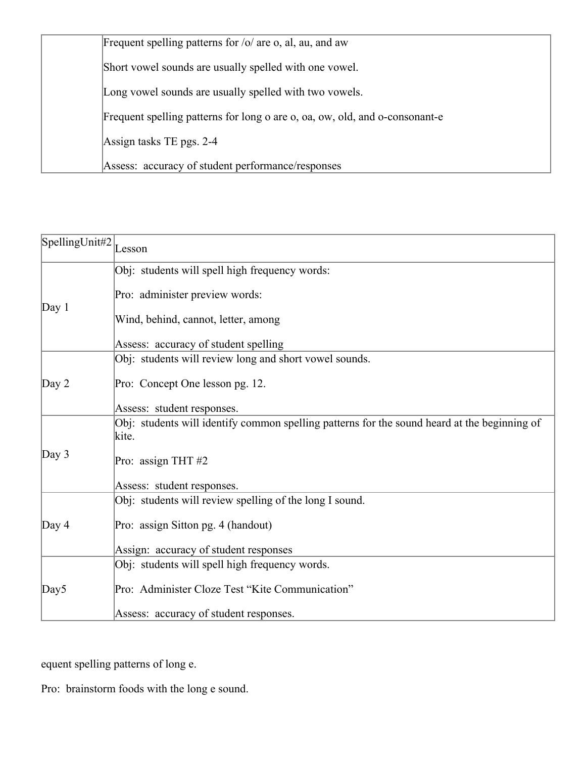| Frequent spelling patterns for $\frac{1}{0}$ are o, al, au, and aw          |
|-----------------------------------------------------------------------------|
| Short vowel sounds are usually spelled with one vowel.                      |
| Long vowel sounds are usually spelled with two vowels.                      |
| Frequent spelling patterns for long o are o, oa, ow, old, and o-consonant-e |
| Assign tasks TE pgs. 2-4                                                    |
| Assess: accuracy of student performance/responses                           |

| $\left[\text{SpellingUnit#2}\right]_{\text{Lesson}}$ |                                                                                                       |  |
|------------------------------------------------------|-------------------------------------------------------------------------------------------------------|--|
|                                                      | Obj: students will spell high frequency words:                                                        |  |
| Day 1                                                | Pro: administer preview words:                                                                        |  |
|                                                      | Wind, behind, cannot, letter, among                                                                   |  |
|                                                      | Assess: accuracy of student spelling                                                                  |  |
|                                                      | Obj: students will review long and short vowel sounds.                                                |  |
| Day 2                                                | Pro: Concept One lesson pg. 12.                                                                       |  |
|                                                      | Assess: student responses.                                                                            |  |
|                                                      | Obj: students will identify common spelling patterns for the sound heard at the beginning of<br>kite. |  |
| Day 3                                                | Pro: assign THT #2                                                                                    |  |
|                                                      | Assess: student responses.                                                                            |  |
|                                                      | Obj: students will review spelling of the long I sound.                                               |  |
| Day 4                                                | Pro: assign Sitton pg. 4 (handout)                                                                    |  |
|                                                      | Assign: accuracy of student responses                                                                 |  |
|                                                      | Obj: students will spell high frequency words.                                                        |  |
| Day5                                                 | Pro: Administer Cloze Test "Kite Communication"                                                       |  |
|                                                      | Assess: accuracy of student responses.                                                                |  |

equent spelling patterns of long e.

Pro: brainstorm foods with the long e sound.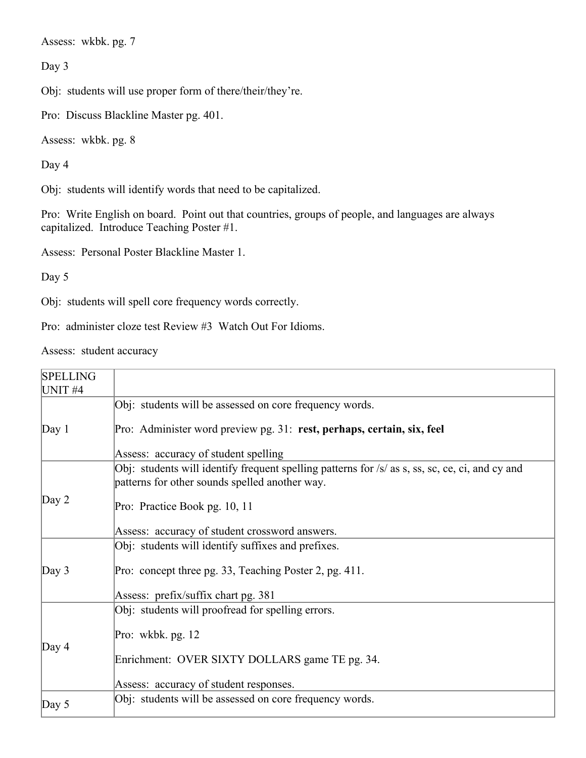Assess: wkbk. pg. 7

Day 3

Obj: students will use proper form of there/their/they're.

Pro: Discuss Blackline Master pg. 401.

Assess: wkbk. pg. 8

Day 4

Obj: students will identify words that need to be capitalized.

Pro: Write English on board. Point out that countries, groups of people, and languages are always capitalized. Introduce Teaching Poster #1.

Assess: Personal Poster Blackline Master 1.

Day 5

Obj: students will spell core frequency words correctly.

Pro: administer cloze test Review #3 Watch Out For Idioms.

Assess: student accuracy

| <b>SPELLING</b><br>UNIT <sub>#4</sub> |                                                                                                                                                   |
|---------------------------------------|---------------------------------------------------------------------------------------------------------------------------------------------------|
|                                       | Obj: students will be assessed on core frequency words.                                                                                           |
| Day $1$                               | Pro: Administer word preview pg. 31: rest, perhaps, certain, six, feel                                                                            |
|                                       | Assess: accuracy of student spelling                                                                                                              |
|                                       | Obj: students will identify frequent spelling patterns for /s/ as s, ss, sc, ce, ci, and cy and<br>patterns for other sounds spelled another way. |
| Day $2$                               | Pro: Practice Book pg. 10, 11                                                                                                                     |
|                                       | Assess: accuracy of student crossword answers.                                                                                                    |
|                                       | Obj: students will identify suffixes and prefixes.                                                                                                |
| Day $3$                               | Pro: concept three pg. 33, Teaching Poster 2, pg. 411.                                                                                            |
|                                       | Assess: prefix/suffix chart pg. 381                                                                                                               |
|                                       | Obj: students will proofread for spelling errors.                                                                                                 |
| Day $4$                               | Pro: wkbk. $pg. 12$                                                                                                                               |
|                                       | Enrichment: OVER SIXTY DOLLARS game TE pg. 34.                                                                                                    |
|                                       | Assess: accuracy of student responses.                                                                                                            |
| Day $5$                               | Obj: students will be assessed on core frequency words.                                                                                           |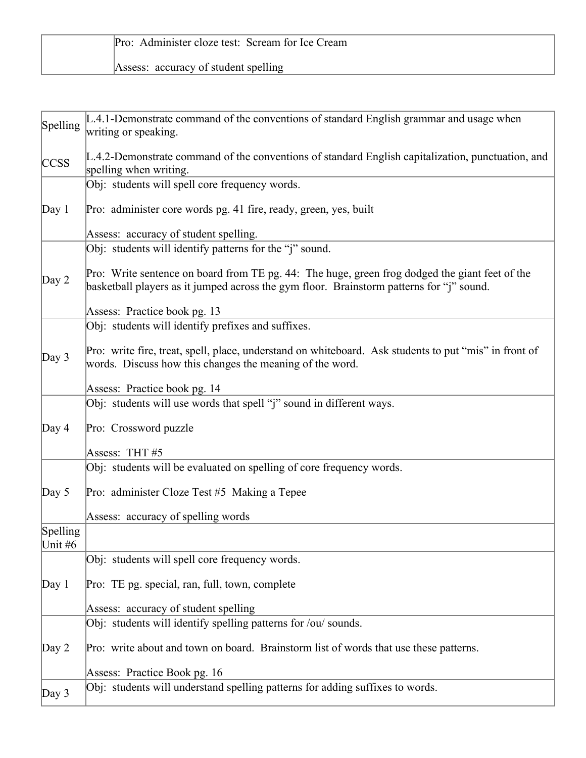| Pro: Administer cloze test: Scream for Ice Cream |  |
|--------------------------------------------------|--|
| Assess: accuracy of student spelling             |  |

| Spelling              | L.4.1-Demonstrate command of the conventions of standard English grammar and usage when<br>writing or speaking.                                                                            |  |
|-----------------------|--------------------------------------------------------------------------------------------------------------------------------------------------------------------------------------------|--|
| <b>CCSS</b>           | L.4.2-Demonstrate command of the conventions of standard English capitalization, punctuation, and<br>spelling when writing.                                                                |  |
|                       | Obj: students will spell core frequency words.                                                                                                                                             |  |
| Day 1                 | Pro: administer core words pg. 41 fire, ready, green, yes, built                                                                                                                           |  |
|                       | Assess: accuracy of student spelling.                                                                                                                                                      |  |
|                       | Obj: students will identify patterns for the "j" sound.                                                                                                                                    |  |
| Day $2$               | Pro: Write sentence on board from TE pg. 44: The huge, green frog dodged the giant feet of the<br>basketball players as it jumped across the gym floor. Brainstorm patterns for "j" sound. |  |
|                       | Assess: Practice book pg. 13                                                                                                                                                               |  |
|                       | Obj: students will identify prefixes and suffixes.                                                                                                                                         |  |
| Day 3                 | Pro: write fire, treat, spell, place, understand on whiteboard. Ask students to put "mis" in front of<br>words. Discuss how this changes the meaning of the word.                          |  |
|                       | Assess: Practice book pg. 14                                                                                                                                                               |  |
|                       | Obj: students will use words that spell "j" sound in different ways.                                                                                                                       |  |
| Day $4$               | Pro: Crossword puzzle                                                                                                                                                                      |  |
|                       | Assess: THT#5                                                                                                                                                                              |  |
|                       | Obj: students will be evaluated on spelling of core frequency words.                                                                                                                       |  |
| Day $5$               | Pro: administer Cloze Test #5 Making a Tepee                                                                                                                                               |  |
|                       | Assess: accuracy of spelling words                                                                                                                                                         |  |
| Spelling<br>Unit $#6$ |                                                                                                                                                                                            |  |
|                       | Obj: students will spell core frequency words.                                                                                                                                             |  |
| Day 1                 | Pro: TE pg. special, ran, full, town, complete                                                                                                                                             |  |
|                       | Assess: accuracy of student spelling                                                                                                                                                       |  |
|                       | Obj: students will identify spelling patterns for /ou/ sounds.                                                                                                                             |  |
| Day 2                 | Pro: write about and town on board. Brainstorm list of words that use these patterns.                                                                                                      |  |
|                       | Assess: Practice Book pg. 16                                                                                                                                                               |  |
| Day 3                 | Obj: students will understand spelling patterns for adding suffixes to words.                                                                                                              |  |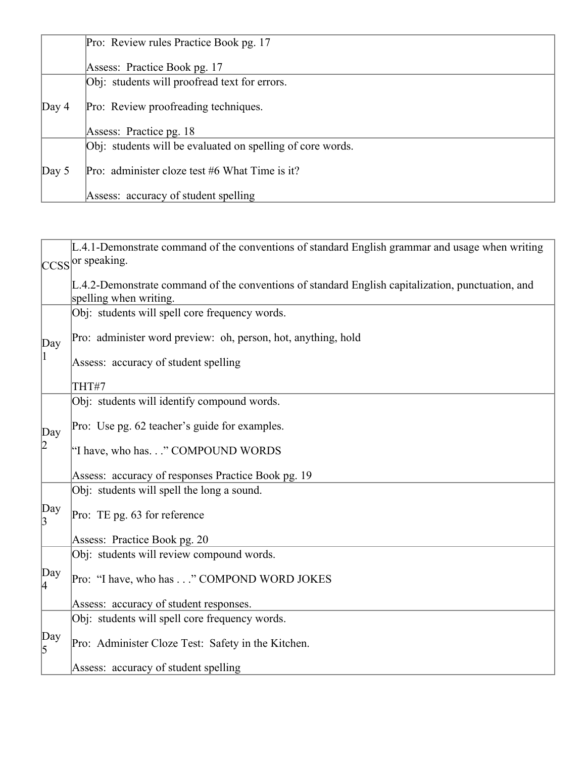|         | Pro: Review rules Practice Book pg. 17                     |
|---------|------------------------------------------------------------|
|         | Assess: Practice Book pg. 17                               |
|         | Obj: students will proofread text for errors.              |
| Day $4$ | Pro: Review proofreading techniques.                       |
|         | Assess: Practice pg. 18                                    |
|         | Obj: students will be evaluated on spelling of core words. |
| Day $5$ | Pro: administer cloze test #6 What Time is it?             |
|         | Assess: accuracy of student spelling                       |

|                       | L.4.1-Demonstrate command of the conventions of standard English grammar and usage when writing                             |
|-----------------------|-----------------------------------------------------------------------------------------------------------------------------|
|                       | CCSS or speaking.                                                                                                           |
|                       | L.4.2-Demonstrate command of the conventions of standard English capitalization, punctuation, and<br>spelling when writing. |
|                       | Obj: students will spell core frequency words.                                                                              |
| Day                   | Pro: administer word preview: oh, person, hot, anything, hold                                                               |
| 11.                   | Assess: accuracy of student spelling                                                                                        |
|                       | THT#7                                                                                                                       |
|                       | Obj: students will identify compound words.                                                                                 |
| Day                   | Pro: Use pg. 62 teacher's guide for examples.                                                                               |
| 2                     | "I have, who has" COMPOUND WORDS                                                                                            |
|                       | Assess: accuracy of responses Practice Book pg. 19                                                                          |
|                       | Obj: students will spell the long a sound.                                                                                  |
| $\begin{bmatrix}$ Day | Pro: TE pg. 63 for reference                                                                                                |
|                       | Assess: Practice Book pg. 20                                                                                                |
|                       | Obj: students will review compound words.                                                                                   |
| Day<br>4              | Pro: "I have, who has" COMPOND WORD JOKES                                                                                   |
|                       | Assess: accuracy of student responses.                                                                                      |
|                       | Obj: students will spell core frequency words.                                                                              |
| $\begin{bmatrix}$ Day | Pro: Administer Cloze Test: Safety in the Kitchen.                                                                          |
|                       | Assess: accuracy of student spelling                                                                                        |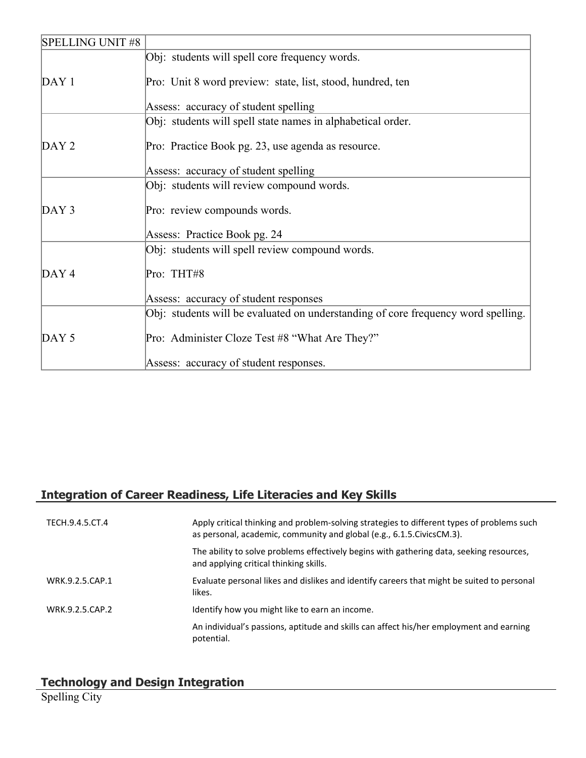| <b>SPELLING UNIT #8</b> |                                                                                   |
|-------------------------|-----------------------------------------------------------------------------------|
|                         | Obj: students will spell core frequency words.                                    |
| DAY1                    | Pro: Unit 8 word preview: state, list, stood, hundred, ten                        |
|                         | Assess: accuracy of student spelling                                              |
|                         | Obj: students will spell state names in alphabetical order.                       |
| DAY <sub>2</sub>        | Pro: Practice Book pg. 23, use agenda as resource.                                |
|                         | Assess: accuracy of student spelling                                              |
|                         | Obj: students will review compound words.                                         |
| DAY3                    | Pro: review compounds words.                                                      |
|                         | Assess: Practice Book pg. 24                                                      |
|                         | Obj: students will spell review compound words.                                   |
| DAY4                    | Pro: THT#8                                                                        |
|                         | Assess: accuracy of student responses                                             |
|                         | Obj: students will be evaluated on understanding of core frequency word spelling. |
| DAY <sub>5</sub>        | Pro: Administer Cloze Test #8 "What Are They?"                                    |
|                         | Assess: accuracy of student responses.                                            |

# **Integration of Career Readiness, Life Literacies and Key Skills**

| TECH.9.4.5.CT.4 | Apply critical thinking and problem-solving strategies to different types of problems such<br>as personal, academic, community and global (e.g., 6.1.5. Civics CM.3). |
|-----------------|-----------------------------------------------------------------------------------------------------------------------------------------------------------------------|
|                 | The ability to solve problems effectively begins with gathering data, seeking resources,<br>and applying critical thinking skills.                                    |
| WRK.9.2.5.CAP.1 | Evaluate personal likes and dislikes and identify careers that might be suited to personal<br>likes.                                                                  |
| WRK.9.2.5.CAP.2 | Identify how you might like to earn an income.                                                                                                                        |
|                 | An individual's passions, aptitude and skills can affect his/her employment and earning<br>potential.                                                                 |

# **Technology and Design Integration**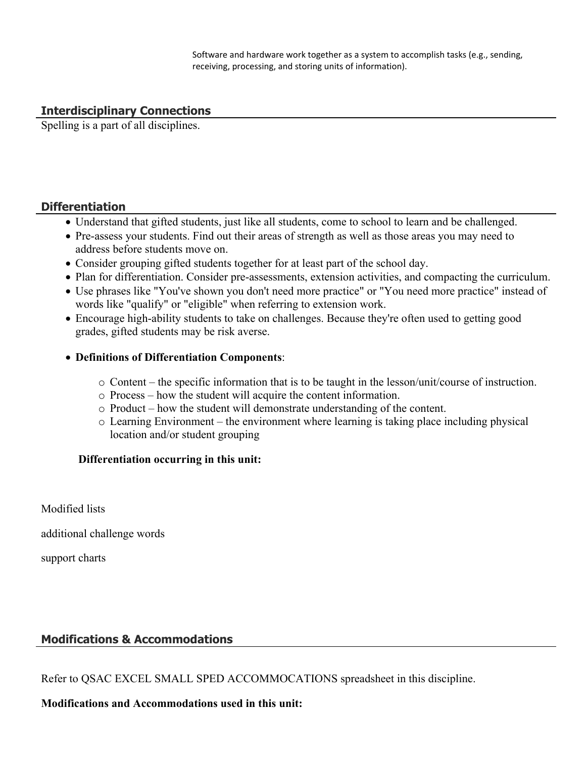Software and hardware work together as a system to accomplish tasks (e.g., sending, receiving, processing, and storing units of information).

#### **Interdisciplinary Connections**

Spelling is a part of all disciplines.

#### **Differentiation**

- Understand that gifted students, just like all students, come to school to learn and be challenged.
- Pre-assess your students. Find out their areas of strength as well as those areas you may need to address before students move on.
- Consider grouping gifted students together for at least part of the school day.
- Plan for differentiation. Consider pre-assessments, extension activities, and compacting the curriculum.
- Use phrases like "You've shown you don't need more practice" or "You need more practice" instead of words like "qualify" or "eligible" when referring to extension work.
- Encourage high-ability students to take on challenges. Because they're often used to getting good grades, gifted students may be risk averse.

#### **Definitions of Differentiation Components**:

- o Content the specific information that is to be taught in the lesson/unit/course of instruction.
- o Process how the student will acquire the content information.
- o Product how the student will demonstrate understanding of the content.
- o Learning Environment the environment where learning is taking place including physical location and/or student grouping

#### **Differentiation occurring in this unit:**

Modified lists

additional challenge words

support charts

#### **Modifications & Accommodations**

Refer to QSAC EXCEL SMALL SPED ACCOMMOCATIONS spreadsheet in this discipline.

#### **Modifications and Accommodations used in this unit:**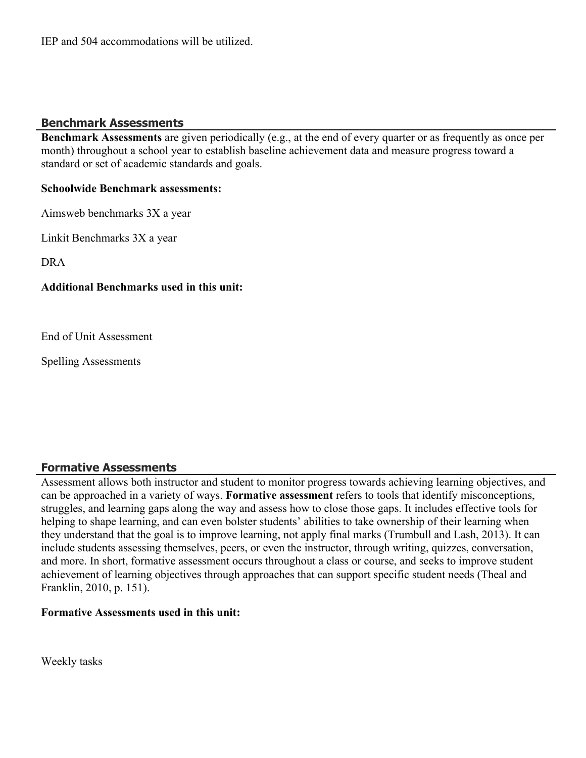IEP and 504 accommodations will be utilized.

#### **Benchmark Assessments**

**Benchmark Assessments** are given periodically (e.g., at the end of every quarter or as frequently as once per month) throughout a school year to establish baseline achievement data and measure progress toward a standard or set of academic standards and goals.

#### **Schoolwide Benchmark assessments:**

Aimsweb benchmarks 3X a year

Linkit Benchmarks 3X a year

DRA

#### **Additional Benchmarks used in this unit:**

End of Unit Assessment

Spelling Assessments

### **Formative Assessments**

Assessment allows both instructor and student to monitor progress towards achieving learning objectives, and can be approached in a variety of ways. **Formative assessment** refers to tools that identify misconceptions, struggles, and learning gaps along the way and assess how to close those gaps. It includes effective tools for helping to shape learning, and can even bolster students' abilities to take ownership of their learning when they understand that the goal is to improve learning, not apply final marks (Trumbull and Lash, 2013). It can include students assessing themselves, peers, or even the instructor, through writing, quizzes, conversation, and more. In short, formative assessment occurs throughout a class or course, and seeks to improve student achievement of learning objectives through approaches that can support specific student needs (Theal and Franklin, 2010, p. 151).

#### **Formative Assessments used in this unit:**

Weekly tasks